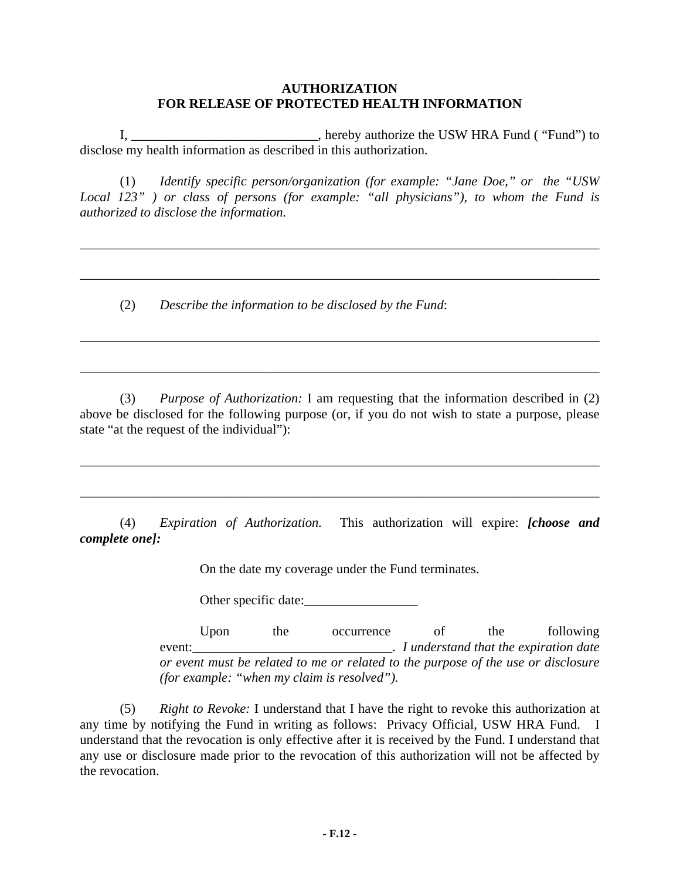## **AUTHORIZATION FOR RELEASE OF PROTECTED HEALTH INFORMATION**

 I, \_\_\_\_\_\_\_\_\_\_\_\_\_\_\_\_\_\_\_\_\_\_\_\_\_\_\_\_, hereby authorize the USW HRA Fund ( "Fund") to disclose my health information as described in this authorization.

 (1) *Identify specific person/organization (for example: "Jane Doe," or the "USW Local 123" ) or class of persons (for example: "all physicians"), to whom the Fund is authorized to disclose the information.* 

*\_\_\_\_\_\_\_\_\_\_\_\_\_\_\_\_\_\_\_\_\_\_\_\_\_\_\_\_\_\_\_\_\_\_\_\_\_\_\_\_\_\_\_\_\_\_\_\_\_\_\_\_\_\_\_\_\_\_\_\_\_\_\_\_\_\_\_\_\_\_\_\_\_\_\_\_\_\_*

*\_\_\_\_\_\_\_\_\_\_\_\_\_\_\_\_\_\_\_\_\_\_\_\_\_\_\_\_\_\_\_\_\_\_\_\_\_\_\_\_\_\_\_\_\_\_\_\_\_\_\_\_\_\_\_\_\_\_\_\_\_\_\_\_\_\_\_\_\_\_\_\_\_\_\_\_\_\_*

\_\_\_\_\_\_\_\_\_\_\_\_\_\_\_\_\_\_\_\_\_\_\_\_\_\_\_\_\_\_\_\_\_\_\_\_\_\_\_\_\_\_\_\_\_\_\_\_\_\_\_\_\_\_\_\_\_\_\_\_\_\_\_\_\_\_\_\_\_\_\_\_\_\_\_\_\_\_

\_\_\_\_\_\_\_\_\_\_\_\_\_\_\_\_\_\_\_\_\_\_\_\_\_\_\_\_\_\_\_\_\_\_\_\_\_\_\_\_\_\_\_\_\_\_\_\_\_\_\_\_\_\_\_\_\_\_\_\_\_\_\_\_\_\_\_\_\_\_\_\_\_\_\_\_\_\_

(2) *Describe the information to be disclosed by the Fund*:

 (3) *Purpose of Authorization:* I am requesting that the information described in (2) above be disclosed for the following purpose (or, if you do not wish to state a purpose, please state "at the request of the individual"):

\_\_\_\_\_\_\_\_\_\_\_\_\_\_\_\_\_\_\_\_\_\_\_\_\_\_\_\_\_\_\_\_\_\_\_\_\_\_\_\_\_\_\_\_\_\_\_\_\_\_\_\_\_\_\_\_\_\_\_\_\_\_\_\_\_\_\_\_\_\_\_\_\_\_\_\_\_\_

\_\_\_\_\_\_\_\_\_\_\_\_\_\_\_\_\_\_\_\_\_\_\_\_\_\_\_\_\_\_\_\_\_\_\_\_\_\_\_\_\_\_\_\_\_\_\_\_\_\_\_\_\_\_\_\_\_\_\_\_\_\_\_\_\_\_\_\_\_\_\_\_\_\_\_\_\_\_

 (4) *Expiration of Authorization.* This authorization will expire: *[choose and complete one]:*

On the date my coverage under the Fund terminates.

Other specific date:

Upon the occurrence of the following event:\_\_\_\_\_\_\_\_\_\_\_\_\_\_\_\_\_\_\_\_\_\_\_\_\_\_\_\_\_\_. *I understand that the expiration date or event must be related to me or related to the purpose of the use or disclosure (for example: "when my claim is resolved").* 

 (5) *Right to Revoke:* I understand that I have the right to revoke this authorization at any time by notifying the Fund in writing as follows: Privacy Official, USW HRA Fund. I understand that the revocation is only effective after it is received by the Fund. I understand that any use or disclosure made prior to the revocation of this authorization will not be affected by the revocation.